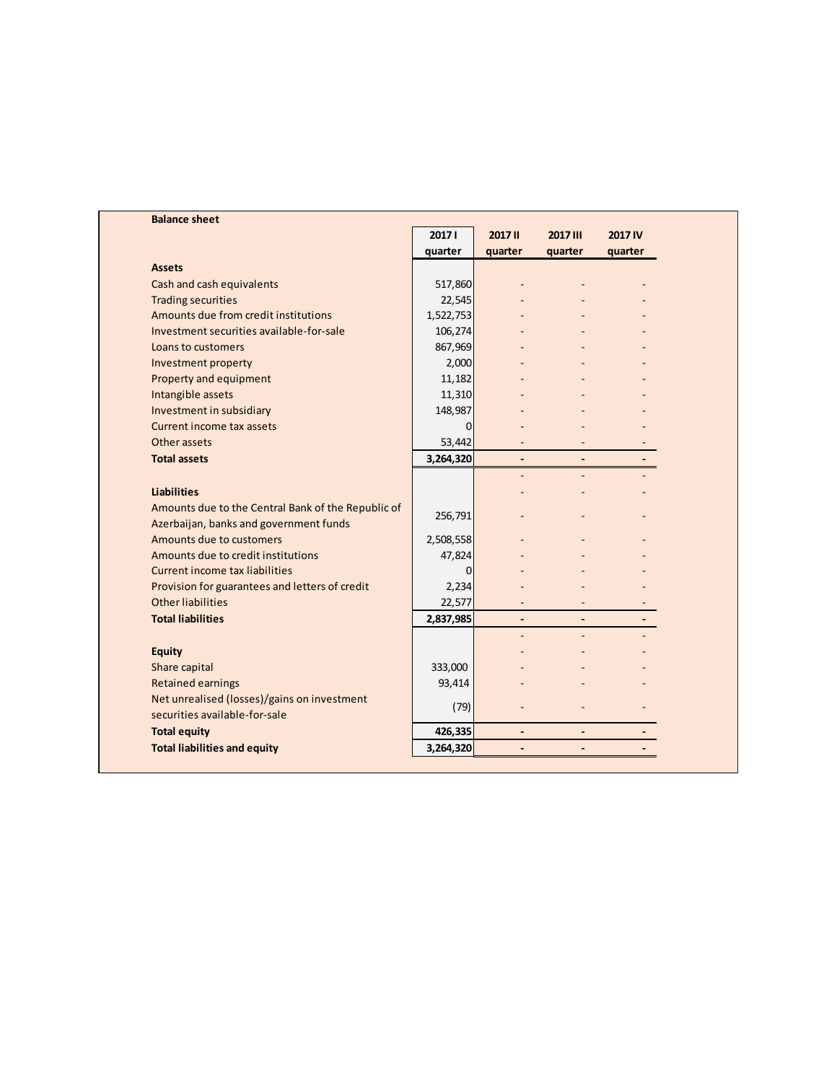| <b>Balance sheet</b>                               |                |                          |                              |         |
|----------------------------------------------------|----------------|--------------------------|------------------------------|---------|
|                                                    | 20171          | 2017 II                  | 2017 III                     | 2017 IV |
|                                                    | quarter        | quarter                  | quarter                      | quarter |
| <b>Assets</b>                                      |                |                          |                              |         |
| Cash and cash equivalents                          | 517,860        |                          |                              |         |
| <b>Trading securities</b>                          | 22,545         |                          |                              |         |
| Amounts due from credit institutions               | 1,522,753      |                          |                              |         |
| Investment securities available-for-sale           | 106,274        |                          |                              |         |
| Loans to customers                                 | 867,969        |                          |                              |         |
| Investment property                                | 2,000          |                          |                              |         |
| Property and equipment                             | 11,182         |                          |                              |         |
| Intangible assets                                  | 11,310         |                          |                              |         |
| Investment in subsidiary                           | 148,987        |                          |                              |         |
| Current income tax assets                          | $\overline{0}$ |                          |                              |         |
| Other assets                                       | 53,442         |                          |                              |         |
| <b>Total assets</b>                                | 3,264,320      | $\overline{\phantom{a}}$ |                              |         |
|                                                    |                |                          |                              |         |
| <b>Liabilities</b>                                 |                |                          |                              |         |
| Amounts due to the Central Bank of the Republic of | 256,791        |                          |                              |         |
| Azerbaijan, banks and government funds             |                |                          |                              |         |
| Amounts due to customers                           | 2,508,558      |                          |                              |         |
| Amounts due to credit institutions                 | 47,824         |                          |                              |         |
| Current income tax liabilities                     | 0              |                          |                              |         |
| Provision for guarantees and letters of credit     | 2,234          |                          |                              |         |
| Other liabilities                                  | 22,577         |                          |                              |         |
| <b>Total liabilities</b>                           | 2,837,985      | $\overline{\phantom{a}}$ | $\overline{\phantom{a}}$     |         |
|                                                    |                |                          |                              |         |
| <b>Equity</b>                                      |                |                          |                              |         |
| Share capital                                      | 333,000        |                          |                              |         |
| <b>Retained earnings</b>                           | 93,414         |                          |                              |         |
| Net unrealised (losses)/gains on investment        | (79)           |                          |                              |         |
| securities available-for-sale                      |                |                          |                              |         |
| <b>Total equity</b>                                | 426,335        | $\overline{a}$           | ÷.                           |         |
| <b>Total liabilities and equity</b>                | 3,264,320      | $\overline{\phantom{a}}$ | $\qquad \qquad \blacksquare$ |         |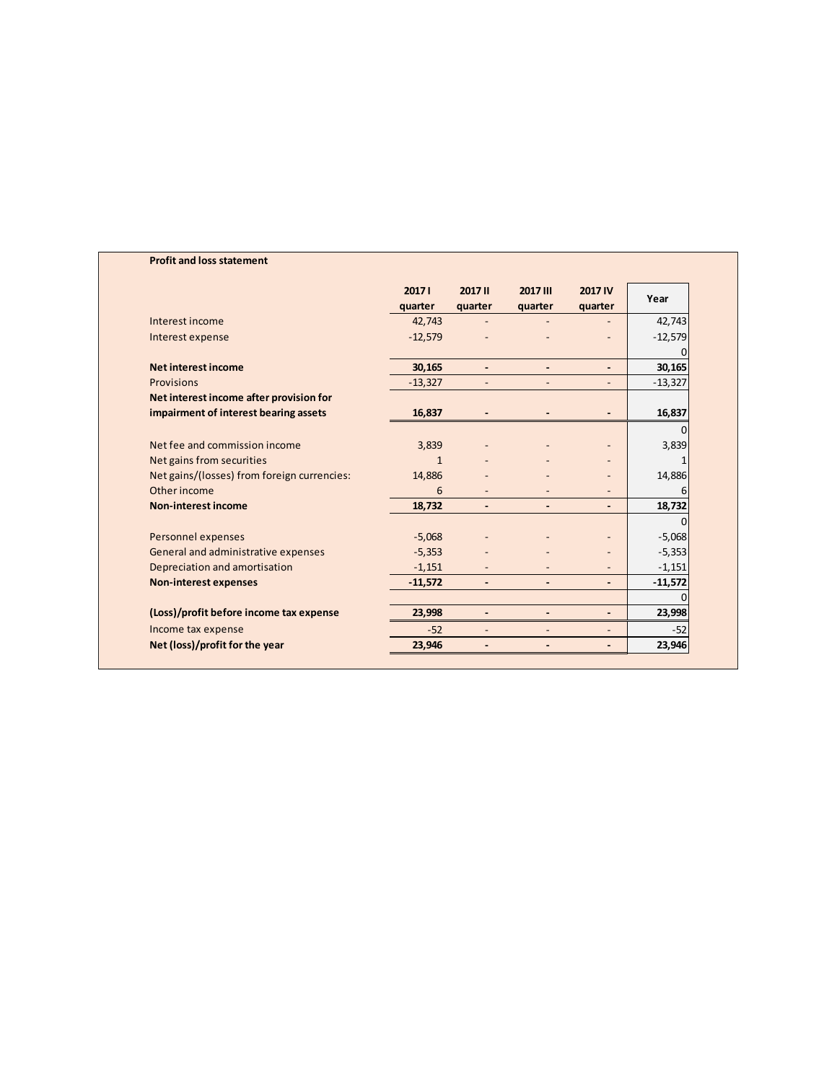|                                             | 20171<br>quarter | <b>2017 II</b><br>quarter | 2017 III<br>quarter      | <b>2017 IV</b><br>quarter | Year      |
|---------------------------------------------|------------------|---------------------------|--------------------------|---------------------------|-----------|
| Interest income                             | 42,743           |                           |                          |                           | 42,743    |
| Interest expense                            | $-12,579$        |                           |                          |                           | $-12,579$ |
| <b>Net interest income</b>                  | 30,165           | $\blacksquare$            | $\overline{a}$           | $\overline{\phantom{a}}$  | 30,165    |
| <b>Provisions</b>                           | $-13,327$        | $\overline{\phantom{a}}$  |                          | $\overline{\phantom{0}}$  | $-13,327$ |
| Net interest income after provision for     |                  |                           |                          |                           |           |
| impairment of interest bearing assets       | 16,837           |                           |                          |                           | 16,837    |
|                                             |                  |                           |                          |                           | $\Omega$  |
| Net fee and commission income               | 3,839            |                           |                          |                           | 3,839     |
| Net gains from securities                   | $\mathbf{1}$     |                           |                          |                           | 1         |
| Net gains/(losses) from foreign currencies: | 14,886           |                           |                          |                           | 14,886    |
| Other income                                | 6                | $\overline{\phantom{a}}$  |                          | $\overline{\phantom{0}}$  | 6         |
| <b>Non-interest income</b>                  | 18,732           | $\overline{\phantom{0}}$  | $\overline{\phantom{0}}$ | $\overline{\phantom{0}}$  | 18,732    |
|                                             |                  |                           |                          |                           | $\Omega$  |
| Personnel expenses                          | $-5,068$         |                           |                          |                           | $-5,068$  |
| General and administrative expenses         | $-5,353$         |                           |                          |                           | $-5,353$  |
| Depreciation and amortisation               | $-1,151$         |                           |                          |                           | $-1,151$  |
| <b>Non-interest expenses</b>                | $-11,572$        | $\overline{\phantom{0}}$  | $\overline{\phantom{0}}$ | ۰.                        | $-11,572$ |
|                                             |                  |                           |                          |                           |           |
| (Loss)/profit before income tax expense     | 23,998           |                           |                          | $\overline{\phantom{a}}$  | 23,998    |
| Income tax expense                          | $-52$            |                           |                          | $\overline{\phantom{a}}$  | $-52$     |
| Net (loss)/profit for the year              | 23,946           |                           |                          | $\overline{\phantom{0}}$  | 23,946    |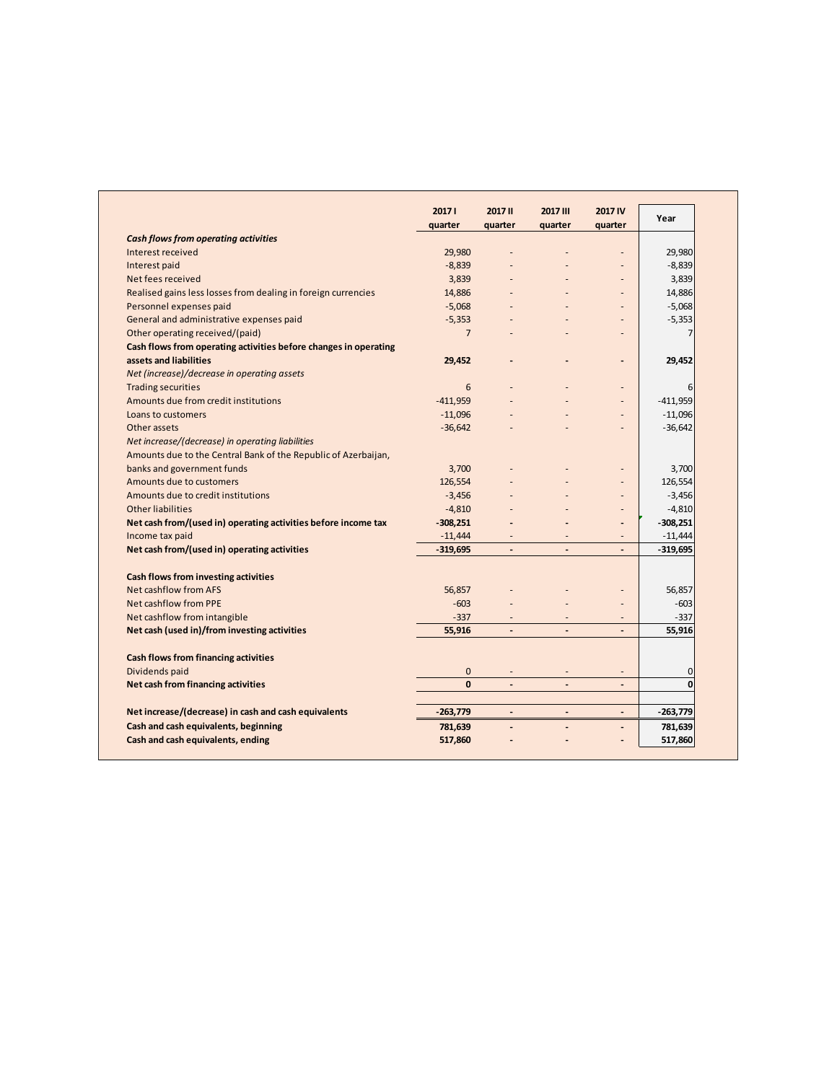|                                                                  | 20171          | 2017 II                  | 2017 III                 | <b>2017 IV</b> | Year           |
|------------------------------------------------------------------|----------------|--------------------------|--------------------------|----------------|----------------|
|                                                                  | quarter        | quarter                  | quarter                  | quarter        |                |
| <b>Cash flows from operating activities</b>                      |                |                          |                          |                |                |
| Interest received                                                | 29,980         |                          |                          |                | 29,980         |
| Interest paid                                                    | $-8,839$       |                          |                          |                | $-8,839$       |
| Net fees received                                                | 3,839          |                          |                          |                | 3,839          |
| Realised gains less losses from dealing in foreign currencies    | 14,886         |                          |                          |                | 14,886         |
| Personnel expenses paid                                          | $-5,068$       |                          |                          |                | $-5,068$       |
| General and administrative expenses paid                         | $-5,353$       |                          |                          |                | $-5,353$       |
| Other operating received/(paid)                                  | $\overline{7}$ |                          |                          |                | $\overline{7}$ |
| Cash flows from operating activities before changes in operating |                |                          |                          |                |                |
| assets and liabilities                                           | 29,452         |                          |                          |                | 29,452         |
| Net (increase)/decrease in operating assets                      |                |                          |                          |                |                |
| <b>Trading securities</b>                                        | 6              |                          |                          |                | 6              |
| Amounts due from credit institutions                             | $-411,959$     |                          |                          |                | $-411,959$     |
| Loans to customers                                               | $-11,096$      |                          |                          |                | $-11,096$      |
| Other assets                                                     | $-36,642$      |                          |                          |                | $-36,642$      |
| Net increase/(decrease) in operating liabilities                 |                |                          |                          |                |                |
| Amounts due to the Central Bank of the Republic of Azerbaijan,   |                |                          |                          |                |                |
| banks and government funds                                       | 3,700          |                          |                          |                | 3,700          |
| Amounts due to customers                                         | 126,554        |                          |                          |                | 126,554        |
| Amounts due to credit institutions                               | $-3,456$       |                          |                          |                | $-3,456$       |
| <b>Other liabilities</b>                                         | $-4,810$       |                          |                          |                | $-4,810$       |
| Net cash from/(used in) operating activities before income tax   | $-308,251$     |                          |                          | $\overline{a}$ | $-308,251$     |
| Income tax paid                                                  | $-11,444$      |                          |                          |                | $-11,444$      |
| Net cash from/(used in) operating activities                     | $-319,695$     | $\blacksquare$           | $\overline{\phantom{a}}$ | $\overline{a}$ | $-319,695$     |
| Cash flows from investing activities                             |                |                          |                          |                |                |
| Net cashflow from AFS                                            | 56,857         |                          |                          |                | 56,857         |
| <b>Net cashflow from PPE</b>                                     | $-603$         |                          |                          |                | $-603$         |
| Net cashflow from intangible                                     | $-337$         |                          |                          |                | $-337$         |
| Net cash (used in)/from investing activities                     | 55,916         | $\blacksquare$           | $\overline{\phantom{a}}$ |                | 55,916         |
| Cash flows from financing activities                             |                |                          |                          |                |                |
| Dividends paid                                                   | $\mathbf{0}$   | $\overline{\phantom{a}}$ |                          | ٠              | $\mathbf 0$    |
| Net cash from financing activities                               | $\Omega$       |                          |                          |                | $\Omega$       |
|                                                                  |                |                          |                          |                |                |
| Net increase/(decrease) in cash and cash equivalents             | $-263,779$     | $\overline{\phantom{a}}$ | $\overline{\phantom{a}}$ | $\overline{a}$ | $-263,779$     |
| Cash and cash equivalents, beginning                             | 781,639        | $\overline{a}$           | $\overline{a}$           | $\overline{a}$ | 781,639        |
| Cash and cash equivalents, ending                                | 517,860        |                          |                          |                | 517,860        |